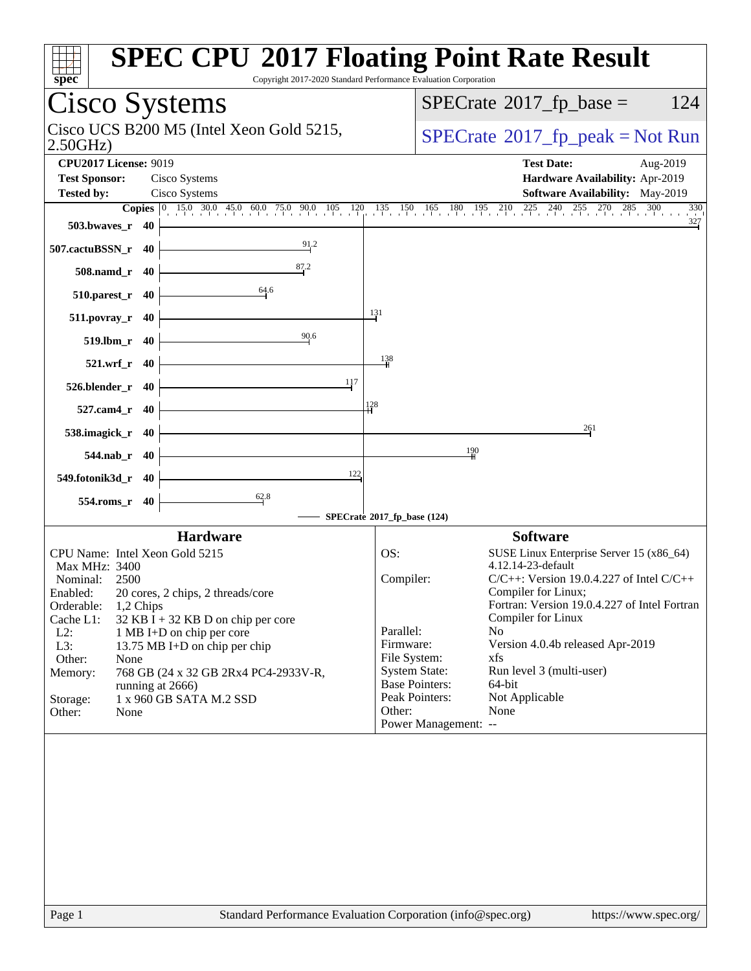| spec <sup>®</sup>                                                           | <b>SPEC CPU®2017 Floating Point Rate Result</b><br>Copyright 2017-2020 Standard Performance Evaluation Corporation |
|-----------------------------------------------------------------------------|--------------------------------------------------------------------------------------------------------------------|
| <b>Cisco Systems</b>                                                        | $SPECrate^{\circledast}2017$ _fp_base =<br>124                                                                     |
| Cisco UCS B200 M5 (Intel Xeon Gold 5215,<br>2.50GHz                         | $SPECrate^{\circ}2017rfp peak = Not Run$                                                                           |
| <b>CPU2017 License: 9019</b>                                                | <b>Test Date:</b><br>Aug-2019                                                                                      |
| <b>Test Sponsor:</b><br>Cisco Systems<br><b>Tested by:</b><br>Cisco Systems | Hardware Availability: Apr-2019<br><b>Software Availability:</b> May-2019                                          |
|                                                                             | <b>Copies</b> 0 15.0 30.0 45.0 60.0 75.0 90.0 105 120 135 150 165 180 195 210 225 240 255 270 285 300<br>330       |
| 503.bwayes_r 40                                                             | $\frac{327}{2}$                                                                                                    |
| 91.2<br>507.cactuBSSN_r 40                                                  |                                                                                                                    |
| 87.2<br>508.namd_r 40                                                       |                                                                                                                    |
| 64.6<br>510.parest_r 40                                                     |                                                                                                                    |
| $511. povray_r$ 40                                                          | 131                                                                                                                |
| 90.6<br>519.1bm r 40                                                        |                                                                                                                    |
| $521. wrf$ r 40                                                             | 138                                                                                                                |
| 117<br>526.blender_r 40                                                     |                                                                                                                    |
| 527.cam4_r 40                                                               | 128                                                                                                                |
| 538.imagick_r 40                                                            | 261                                                                                                                |
| 544.nab $r$ 40                                                              | 190                                                                                                                |
| 122<br>549.fotonik3d_r 40                                                   |                                                                                                                    |
| 62.8<br>554.roms_r 40                                                       |                                                                                                                    |
|                                                                             | SPECrate®2017_fp_base (124)                                                                                        |
| <b>Hardware</b>                                                             | <b>Software</b>                                                                                                    |
| CPU Name: Intel Xeon Gold 5215                                              | OS:<br>SUSE Linux Enterprise Server 15 (x86_64)<br>4.12.14-23-default                                              |
| Max MHz: 3400<br>Nominal:<br>2500                                           | Compiler:<br>$C/C++$ : Version 19.0.4.227 of Intel $C/C++$                                                         |
| 20 cores, 2 chips, 2 threads/core<br>Enabled:                               | Compiler for Linux;                                                                                                |
| Orderable:<br>1,2 Chips                                                     | Fortran: Version 19.0.4.227 of Intel Fortran                                                                       |
| Cache L1:<br>$32$ KB I + 32 KB D on chip per core                           | Compiler for Linux                                                                                                 |
| $L2$ :<br>1 MB I+D on chip per core                                         | Parallel:<br>No<br>Firmware:<br>Version 4.0.4b released Apr-2019                                                   |
| L3:<br>13.75 MB I+D on chip per chip<br>Other:<br>None                      | File System:<br>xfs                                                                                                |
| 768 GB (24 x 32 GB 2Rx4 PC4-2933V-R,<br>Memory:                             | <b>System State:</b><br>Run level 3 (multi-user)                                                                   |
| running at 2666)                                                            | <b>Base Pointers:</b><br>64-bit                                                                                    |
| Storage:<br>1 x 960 GB SATA M.2 SSD                                         | Peak Pointers:<br>Not Applicable                                                                                   |
| Other:<br>None                                                              | Other:<br>None                                                                                                     |
|                                                                             | Power Management: --                                                                                               |
|                                                                             |                                                                                                                    |
| Page 1                                                                      | Standard Performance Evaluation Corporation (info@spec.org)<br>https://www.spec.org/                               |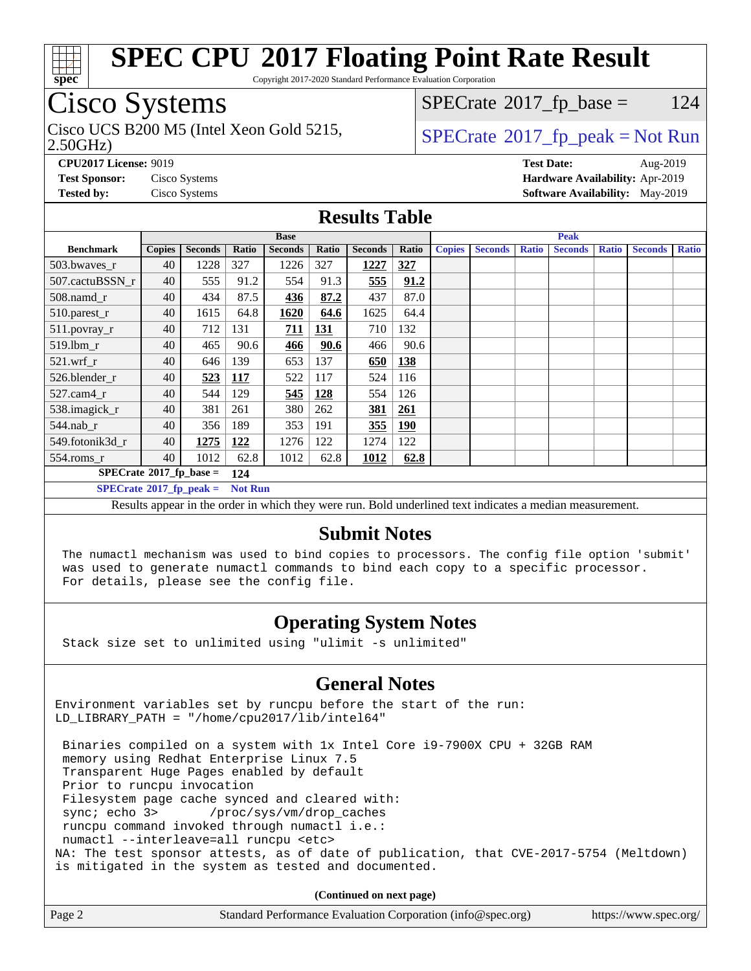

Copyright 2017-2020 Standard Performance Evaluation Corporation

## Cisco Systems

2.50GHz) Cisco UCS B200 M5 (Intel Xeon Gold 5215,  $\vert$  [SPECrate](http://www.spec.org/auto/cpu2017/Docs/result-fields.html#SPECrate2017fppeak)®[2017\\_fp\\_peak = N](http://www.spec.org/auto/cpu2017/Docs/result-fields.html#SPECrate2017fppeak)ot Run

 $SPECTate$ <sup>®</sup>[2017\\_fp\\_base =](http://www.spec.org/auto/cpu2017/Docs/result-fields.html#SPECrate2017fpbase) 124

**[CPU2017 License:](http://www.spec.org/auto/cpu2017/Docs/result-fields.html#CPU2017License)** 9019 **[Test Date:](http://www.spec.org/auto/cpu2017/Docs/result-fields.html#TestDate)** Aug-2019 **[Test Sponsor:](http://www.spec.org/auto/cpu2017/Docs/result-fields.html#TestSponsor)** Cisco Systems **[Hardware Availability:](http://www.spec.org/auto/cpu2017/Docs/result-fields.html#HardwareAvailability)** Apr-2019 **[Tested by:](http://www.spec.org/auto/cpu2017/Docs/result-fields.html#Testedby)** Cisco Systems **[Software Availability:](http://www.spec.org/auto/cpu2017/Docs/result-fields.html#SoftwareAvailability)** May-2019

## **[Results Table](http://www.spec.org/auto/cpu2017/Docs/result-fields.html#ResultsTable)**

|                                  | <b>Base</b>   |                |                |                |            |                |            | <b>Peak</b>   |                |              |                |              |                |              |
|----------------------------------|---------------|----------------|----------------|----------------|------------|----------------|------------|---------------|----------------|--------------|----------------|--------------|----------------|--------------|
| <b>Benchmark</b>                 | <b>Copies</b> | <b>Seconds</b> | Ratio          | <b>Seconds</b> | Ratio      | <b>Seconds</b> | Ratio      | <b>Copies</b> | <b>Seconds</b> | <b>Ratio</b> | <b>Seconds</b> | <b>Ratio</b> | <b>Seconds</b> | <b>Ratio</b> |
| 503.bwaves_r                     | 40            | 1228           | 327            | 1226           | 327        | 1227           | 327        |               |                |              |                |              |                |              |
| 507.cactuBSSN r                  | 40            | 555            | 91.2           | 554            | 91.3       | 555            | 91.2       |               |                |              |                |              |                |              |
| $508$ .namd $r$                  | 40            | 434            | 87.5           | 436            | 87.2       | 437            | 87.0       |               |                |              |                |              |                |              |
| $510.parest_r$                   | 40            | 1615           | 64.8           | 1620           | 64.6       | 1625           | 64.4       |               |                |              |                |              |                |              |
| 511.povray_r                     | 40            | 712            | 131            | 711            | <b>131</b> | 710            | 132        |               |                |              |                |              |                |              |
| 519.lbm r                        | 40            | 465            | 90.6           | 466            | 90.6       | 466            | 90.6       |               |                |              |                |              |                |              |
| $521$ .wrf r                     | 40            | 646            | 139            | 653            | 137        | 650            | 138        |               |                |              |                |              |                |              |
| 526.blender r                    | 40            | 523            | <b>117</b>     | 522            | 117        | 524            | 116        |               |                |              |                |              |                |              |
| $527$ .cam $4r$                  | 40            | 544            | 129            | 545            | 128        | 554            | 126        |               |                |              |                |              |                |              |
| 538.imagick_r                    | 40            | 381            | 261            | 380            | 262        | 381            | 261        |               |                |              |                |              |                |              |
| $544$ .nab_r                     | 40            | 356            | 189            | 353            | 191        | 355            | <b>190</b> |               |                |              |                |              |                |              |
| 549.fotonik3d r                  | 40            | 1275           | 122            | 1276           | 122        | 1274           | 122        |               |                |              |                |              |                |              |
| $554$ .roms_r                    | 40            | 1012           | 62.8           | 1012           | 62.8       | 1012           | 62.8       |               |                |              |                |              |                |              |
| $SPECrate^{\circ}2017$ fp base = |               |                | 124            |                |            |                |            |               |                |              |                |              |                |              |
| $SPECrate^{\circ}2017$ fp peak = |               |                | <b>Not Run</b> |                |            |                |            |               |                |              |                |              |                |              |

Results appear in the [order in which they were run.](http://www.spec.org/auto/cpu2017/Docs/result-fields.html#RunOrder) Bold underlined text [indicates a median measurement.](http://www.spec.org/auto/cpu2017/Docs/result-fields.html#Median)

### **[Submit Notes](http://www.spec.org/auto/cpu2017/Docs/result-fields.html#SubmitNotes)**

 The numactl mechanism was used to bind copies to processors. The config file option 'submit' was used to generate numactl commands to bind each copy to a specific processor. For details, please see the config file.

## **[Operating System Notes](http://www.spec.org/auto/cpu2017/Docs/result-fields.html#OperatingSystemNotes)**

Stack size set to unlimited using "ulimit -s unlimited"

## **[General Notes](http://www.spec.org/auto/cpu2017/Docs/result-fields.html#GeneralNotes)**

Environment variables set by runcpu before the start of the run: LD LIBRARY PATH = "/home/cpu2017/lib/intel64"

 Binaries compiled on a system with 1x Intel Core i9-7900X CPU + 32GB RAM memory using Redhat Enterprise Linux 7.5 Transparent Huge Pages enabled by default Prior to runcpu invocation Filesystem page cache synced and cleared with: sync; echo 3> /proc/sys/vm/drop\_caches runcpu command invoked through numactl i.e.: numactl --interleave=all runcpu <etc> NA: The test sponsor attests, as of date of publication, that CVE-2017-5754 (Meltdown) is mitigated in the system as tested and documented.

**(Continued on next page)**

| Page 2 | Standard Performance Evaluation Corporation (info@spec.org) | https://www.spec.org/ |
|--------|-------------------------------------------------------------|-----------------------|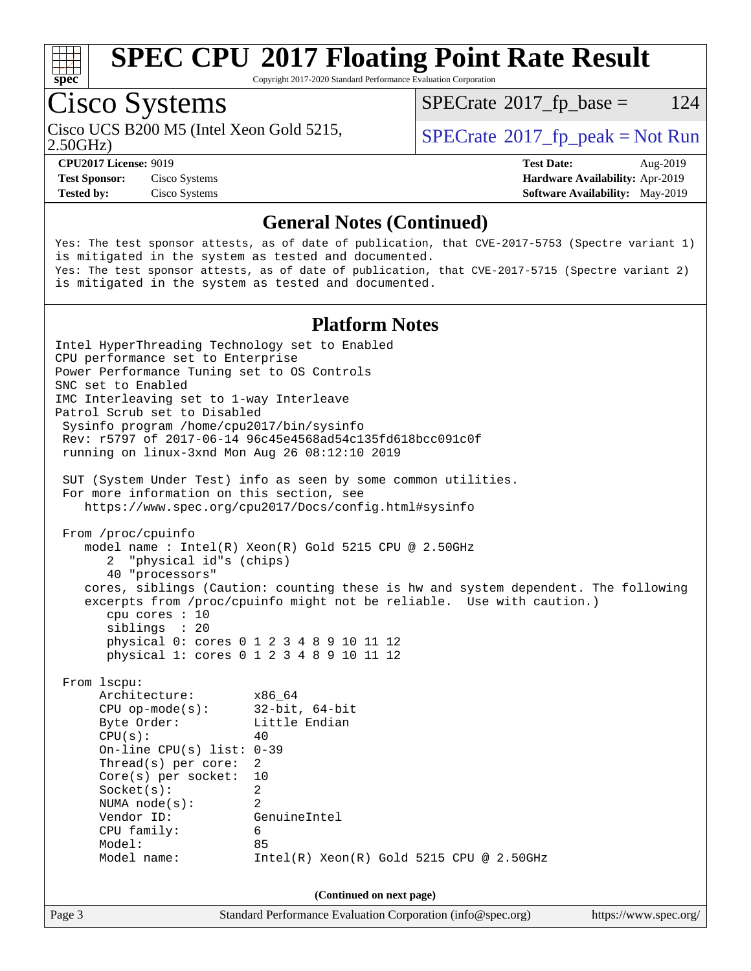

Copyright 2017-2020 Standard Performance Evaluation Corporation

# Cisco Systems

2.50GHz) Cisco UCS B200 M5 (Intel Xeon Gold 5215,  $\vert$  [SPECrate](http://www.spec.org/auto/cpu2017/Docs/result-fields.html#SPECrate2017fppeak) 2017 fp peak = Not Run

 $SPECTate$ <sup>®</sup>[2017\\_fp\\_base =](http://www.spec.org/auto/cpu2017/Docs/result-fields.html#SPECrate2017fpbase) 124

**[Test Sponsor:](http://www.spec.org/auto/cpu2017/Docs/result-fields.html#TestSponsor)** Cisco Systems **[Hardware Availability:](http://www.spec.org/auto/cpu2017/Docs/result-fields.html#HardwareAvailability)** Apr-2019

**[CPU2017 License:](http://www.spec.org/auto/cpu2017/Docs/result-fields.html#CPU2017License)** 9019 **[Test Date:](http://www.spec.org/auto/cpu2017/Docs/result-fields.html#TestDate)** Aug-2019 **[Tested by:](http://www.spec.org/auto/cpu2017/Docs/result-fields.html#Testedby)** Cisco Systems **[Software Availability:](http://www.spec.org/auto/cpu2017/Docs/result-fields.html#SoftwareAvailability)** May-2019

## **[General Notes \(Continued\)](http://www.spec.org/auto/cpu2017/Docs/result-fields.html#GeneralNotes)**

Yes: The test sponsor attests, as of date of publication, that CVE-2017-5753 (Spectre variant 1) is mitigated in the system as tested and documented. Yes: The test sponsor attests, as of date of publication, that CVE-2017-5715 (Spectre variant 2) is mitigated in the system as tested and documented.

### **[Platform Notes](http://www.spec.org/auto/cpu2017/Docs/result-fields.html#PlatformNotes)**

Page 3 Standard Performance Evaluation Corporation [\(info@spec.org\)](mailto:info@spec.org) <https://www.spec.org/> Intel HyperThreading Technology set to Enabled CPU performance set to Enterprise Power Performance Tuning set to OS Controls SNC set to Enabled IMC Interleaving set to 1-way Interleave Patrol Scrub set to Disabled Sysinfo program /home/cpu2017/bin/sysinfo Rev: r5797 of 2017-06-14 96c45e4568ad54c135fd618bcc091c0f running on linux-3xnd Mon Aug 26 08:12:10 2019 SUT (System Under Test) info as seen by some common utilities. For more information on this section, see <https://www.spec.org/cpu2017/Docs/config.html#sysinfo> From /proc/cpuinfo model name : Intel(R) Xeon(R) Gold 5215 CPU @ 2.50GHz 2 "physical id"s (chips) 40 "processors" cores, siblings (Caution: counting these is hw and system dependent. The following excerpts from /proc/cpuinfo might not be reliable. Use with caution.) cpu cores : 10 siblings : 20 physical 0: cores 0 1 2 3 4 8 9 10 11 12 physical 1: cores 0 1 2 3 4 8 9 10 11 12 From lscpu: Architecture: x86\_64 CPU op-mode(s): 32-bit, 64-bit Byte Order: Little Endian  $CPU(s):$  40 On-line CPU(s) list: 0-39 Thread(s) per core: 2 Core(s) per socket: 10 Socket(s): 2 NUMA node(s): 2 Vendor ID: GenuineIntel CPU family: 6 Model: 85 Model name: Intel(R) Xeon(R) Gold 5215 CPU @ 2.50GHz **(Continued on next page)**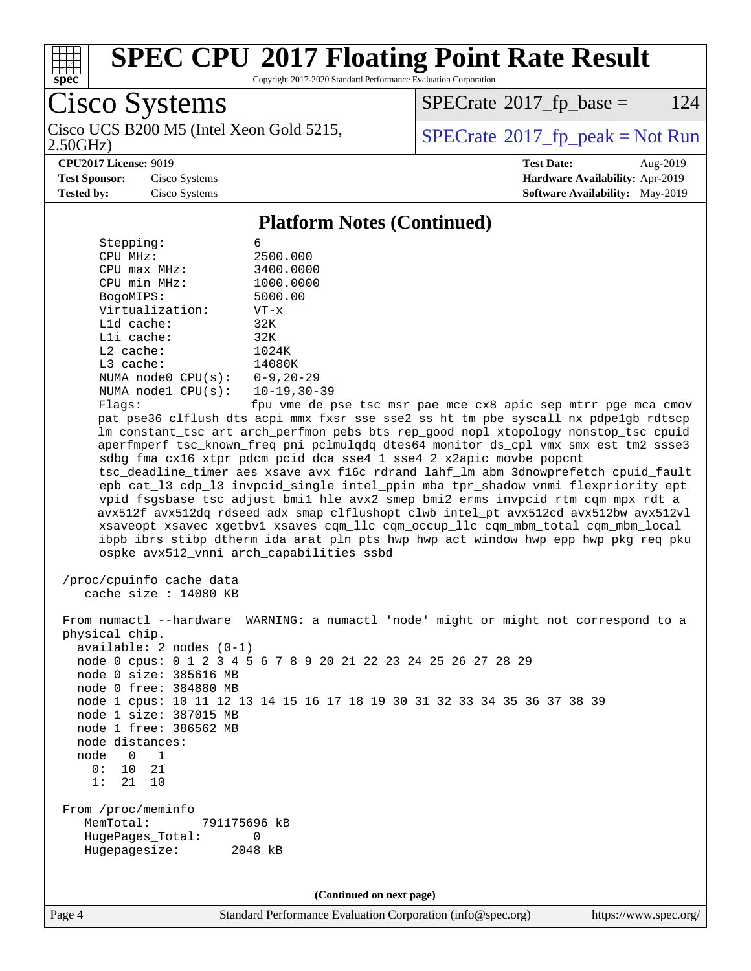

Copyright 2017-2020 Standard Performance Evaluation Corporation

Cisco Systems 2.50GHz) Cisco UCS B200 M5 (Intel Xeon Gold 5215,  $\vert$  [SPECrate](http://www.spec.org/auto/cpu2017/Docs/result-fields.html#SPECrate2017fppeak)®[2017\\_fp\\_peak = N](http://www.spec.org/auto/cpu2017/Docs/result-fields.html#SPECrate2017fppeak)ot Run

 $SPECTate$ <sup>®</sup>[2017\\_fp\\_base =](http://www.spec.org/auto/cpu2017/Docs/result-fields.html#SPECrate2017fpbase) 124

**[CPU2017 License:](http://www.spec.org/auto/cpu2017/Docs/result-fields.html#CPU2017License)** 9019 **[Test Date:](http://www.spec.org/auto/cpu2017/Docs/result-fields.html#TestDate)** Aug-2019 **[Test Sponsor:](http://www.spec.org/auto/cpu2017/Docs/result-fields.html#TestSponsor)** Cisco Systems **[Hardware Availability:](http://www.spec.org/auto/cpu2017/Docs/result-fields.html#HardwareAvailability)** Apr-2019 **[Tested by:](http://www.spec.org/auto/cpu2017/Docs/result-fields.html#Testedby)** Cisco Systems **[Software Availability:](http://www.spec.org/auto/cpu2017/Docs/result-fields.html#SoftwareAvailability)** May-2019

### **[Platform Notes \(Continued\)](http://www.spec.org/auto/cpu2017/Docs/result-fields.html#PlatformNotes)**

| Stepping:          | 6                  |
|--------------------|--------------------|
| CPU MHz:           | 2500.000           |
| $CPIJ$ max $MHz$ : | 3400.0000          |
| CPU min MHz:       | 1000.0000          |
| BogoMIPS:          | 5000.00            |
| Virtualization:    | $VT - x$           |
| $L1d$ cache:       | 32K                |
| $L1i$ cache:       | 32K                |
| $L2$ cache:        | 1024K              |
| $L3$ cache:        | 14080K             |
| NUMA node0 CPU(s): | $0 - 9, 20 - 29$   |
| NUMA node1 CPU(s): | $10 - 19, 30 - 39$ |
| Flaqs:             | fpu vme de pse ts  |
|                    |                    |

 $\sec$  msr pae mce  $\cosh$  apic sep mtrr pge mca cmov pat pse36 clflush dts acpi mmx fxsr sse sse2 ss ht tm pbe syscall nx pdpe1gb rdtscp lm constant\_tsc art arch\_perfmon pebs bts rep\_good nopl xtopology nonstop\_tsc cpuid aperfmperf tsc\_known\_freq pni pclmulqdq dtes64 monitor ds\_cpl vmx smx est tm2 ssse3 sdbg fma cx16 xtpr pdcm pcid dca sse4\_1 sse4\_2 x2apic movbe popcnt tsc\_deadline\_timer aes xsave avx f16c rdrand lahf\_lm abm 3dnowprefetch cpuid\_fault epb cat\_l3 cdp\_l3 invpcid\_single intel\_ppin mba tpr\_shadow vnmi flexpriority ept vpid fsgsbase tsc\_adjust bmi1 hle avx2 smep bmi2 erms invpcid rtm cqm mpx rdt\_a avx512f avx512dq rdseed adx smap clflushopt clwb intel\_pt avx512cd avx512bw avx512vl xsaveopt xsavec xgetbv1 xsaves cqm\_llc cqm\_occup\_llc cqm\_mbm\_total cqm\_mbm\_local ibpb ibrs stibp dtherm ida arat pln pts hwp hwp\_act\_window hwp\_epp hwp\_pkg\_req pku ospke avx512\_vnni arch\_capabilities ssbd

```
 /proc/cpuinfo cache data
   cache size : 14080 KB
```
 From numactl --hardware WARNING: a numactl 'node' might or might not correspond to a physical chip. available: 2 nodes (0-1) node 0 cpus: 0 1 2 3 4 5 6 7 8 9 20 21 22 23 24 25 26 27 28 29 node 0 size: 385616 MB node 0 free: 384880 MB node 1 cpus: 10 11 12 13 14 15 16 17 18 19 30 31 32 33 34 35 36 37 38 39 node 1 size: 387015 MB node 1 free: 386562 MB node distances: node 0 1 0: 10 21 1: 21 10 From /proc/meminfo MemTotal: 791175696 kB HugePages\_Total: 0 Hugepagesize: 2048 kB

**(Continued on next page)**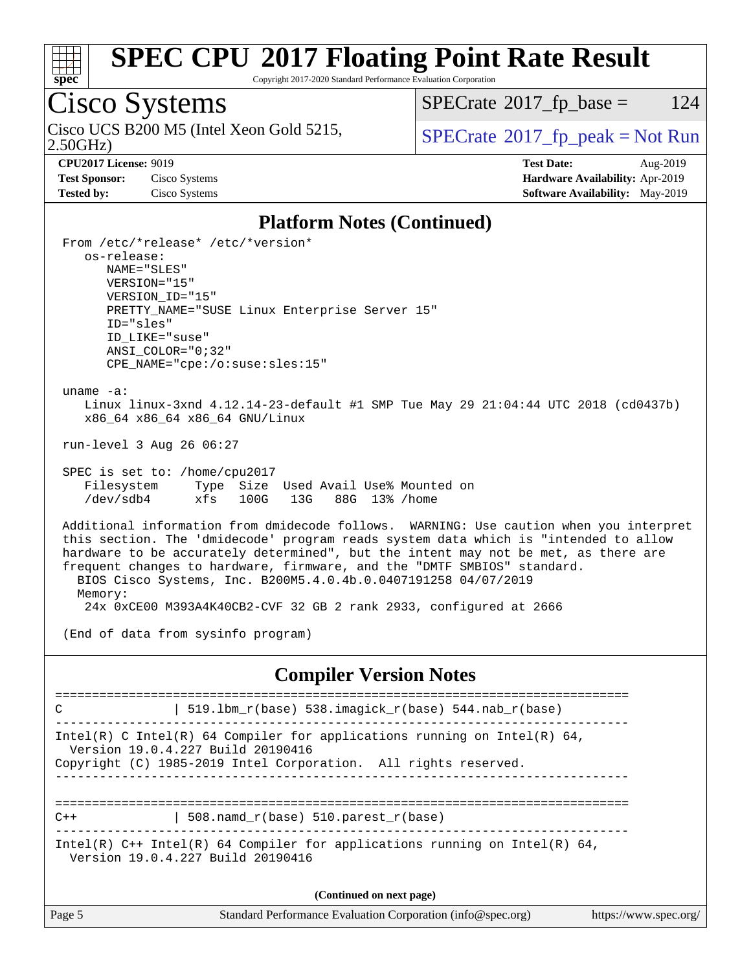

Copyright 2017-2020 Standard Performance Evaluation Corporation

# Cisco Systems

2.50GHz) Cisco UCS B200 M5 (Intel Xeon Gold 5215,  $\vert$  [SPECrate](http://www.spec.org/auto/cpu2017/Docs/result-fields.html#SPECrate2017fppeak)®[2017\\_fp\\_peak = N](http://www.spec.org/auto/cpu2017/Docs/result-fields.html#SPECrate2017fppeak)ot Run

 $SPECTate$ <sup>®</sup>[2017\\_fp\\_base =](http://www.spec.org/auto/cpu2017/Docs/result-fields.html#SPECrate2017fpbase) 124

**[Test Sponsor:](http://www.spec.org/auto/cpu2017/Docs/result-fields.html#TestSponsor)** Cisco Systems **[Hardware Availability:](http://www.spec.org/auto/cpu2017/Docs/result-fields.html#HardwareAvailability)** Apr-2019

**[CPU2017 License:](http://www.spec.org/auto/cpu2017/Docs/result-fields.html#CPU2017License)** 9019 **[Test Date:](http://www.spec.org/auto/cpu2017/Docs/result-fields.html#TestDate)** Aug-2019 **[Tested by:](http://www.spec.org/auto/cpu2017/Docs/result-fields.html#Testedby)** Cisco Systems **[Software Availability:](http://www.spec.org/auto/cpu2017/Docs/result-fields.html#SoftwareAvailability)** May-2019

### **[Platform Notes \(Continued\)](http://www.spec.org/auto/cpu2017/Docs/result-fields.html#PlatformNotes)**

 From /etc/\*release\* /etc/\*version\* os-release: NAME="SLES" VERSION="15" VERSION\_ID="15" PRETTY NAME="SUSE Linux Enterprise Server 15" ID="sles" ID\_LIKE="suse" ANSI\_COLOR="0;32" CPE\_NAME="cpe:/o:suse:sles:15" uname -a: Linux linux-3xnd 4.12.14-23-default #1 SMP Tue May 29 21:04:44 UTC 2018 (cd0437b) x86\_64 x86\_64 x86\_64 GNU/Linux run-level 3 Aug 26 06:27 SPEC is set to: /home/cpu2017 Filesystem Type Size Used Avail Use% Mounted on /dev/sdb4 xfs 100G 13G 88G 13% /home Additional information from dmidecode follows. WARNING: Use caution when you interpret this section. The 'dmidecode' program reads system data which is "intended to allow hardware to be accurately determined", but the intent may not be met, as there are frequent changes to hardware, firmware, and the "DMTF SMBIOS" standard. BIOS Cisco Systems, Inc. B200M5.4.0.4b.0.0407191258 04/07/2019 Memory: 24x 0xCE00 M393A4K40CB2-CVF 32 GB 2 rank 2933, configured at 2666 (End of data from sysinfo program) **[Compiler Version Notes](http://www.spec.org/auto/cpu2017/Docs/result-fields.html#CompilerVersionNotes)** ============================================================================== C  $| 519.1bm_r(base) 538.imagick_r(base) 544.nab_r(base)$ ------------------------------------------------------------------------------ Intel(R) C Intel(R) 64 Compiler for applications running on Intel(R)  $64$ , Version 19.0.4.227 Build 20190416 Copyright (C) 1985-2019 Intel Corporation. All rights reserved. ------------------------------------------------------------------------------ ==============================================================================

 $C++$  | 508.namd\_r(base) 510.parest\_r(base) ------------------------------------------------------------------------------

Intel(R)  $C++$  Intel(R) 64 Compiler for applications running on Intel(R) 64,

Version 19.0.4.227 Build 20190416

**(Continued on next page)**

| Page 5 | Standard Performance Evaluation Corporation (info@spec.org) | https://www.spec.org/ |
|--------|-------------------------------------------------------------|-----------------------|
|--------|-------------------------------------------------------------|-----------------------|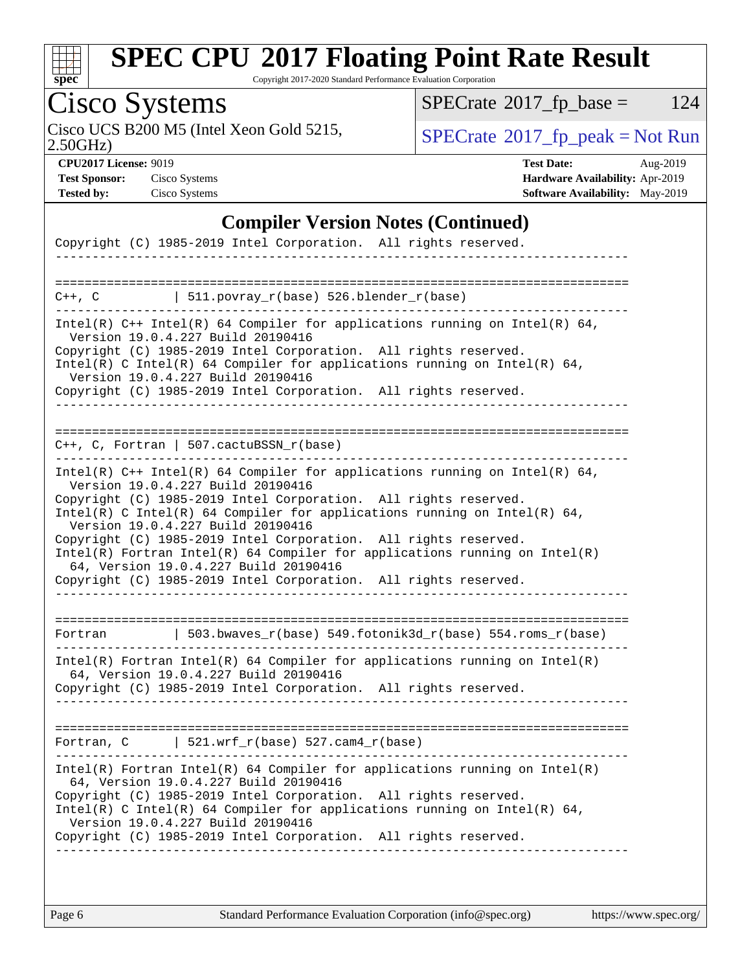

Copyright 2017-2020 Standard Performance Evaluation Corporation

# Cisco Systems

Cisco UCS B200 M5 (Intel Xeon Gold 5215,  $\begin{array}{|l|l|}\n\hline\n\text{SPECrate} \textdegree 2017_f\textdegree 2018 = \text{Not Run} \\
\hline\n\end{array}$  $\begin{array}{|l|l|}\n\hline\n\text{SPECrate} \textdegree 2017_f\textdegree 2018 = \text{Not Run} \\
\hline\n\end{array}$  $\begin{array}{|l|l|}\n\hline\n\text{SPECrate} \textdegree 2017_f\textdegree 2018 = \text{Not Run} \\
\hline\n\end{array}$ 

 $SPECTate$ <sup>®</sup>[2017\\_fp\\_base =](http://www.spec.org/auto/cpu2017/Docs/result-fields.html#SPECrate2017fpbase) 124

2.50GHz)

**[Test Sponsor:](http://www.spec.org/auto/cpu2017/Docs/result-fields.html#TestSponsor)** Cisco Systems **[Hardware Availability:](http://www.spec.org/auto/cpu2017/Docs/result-fields.html#HardwareAvailability)** Apr-2019

**[CPU2017 License:](http://www.spec.org/auto/cpu2017/Docs/result-fields.html#CPU2017License)** 9019 **[Test Date:](http://www.spec.org/auto/cpu2017/Docs/result-fields.html#TestDate)** Aug-2019 **[Tested by:](http://www.spec.org/auto/cpu2017/Docs/result-fields.html#Testedby)** Cisco Systems **[Software Availability:](http://www.spec.org/auto/cpu2017/Docs/result-fields.html#SoftwareAvailability)** May-2019

## **[Compiler Version Notes \(Continued\)](http://www.spec.org/auto/cpu2017/Docs/result-fields.html#CompilerVersionNotes)**

| Copyright (C) 1985-2019 Intel Corporation. All rights reserved.                                                                                                                                                                                                                                                                                                                                                                                                                                                                                                      |
|----------------------------------------------------------------------------------------------------------------------------------------------------------------------------------------------------------------------------------------------------------------------------------------------------------------------------------------------------------------------------------------------------------------------------------------------------------------------------------------------------------------------------------------------------------------------|
|                                                                                                                                                                                                                                                                                                                                                                                                                                                                                                                                                                      |
| $ $ 511.povray_r(base) 526.blender_r(base)<br>$C++$ , $C$                                                                                                                                                                                                                                                                                                                                                                                                                                                                                                            |
| Intel(R) $C++$ Intel(R) 64 Compiler for applications running on Intel(R) 64,<br>Version 19.0.4.227 Build 20190416<br>Copyright (C) 1985-2019 Intel Corporation. All rights reserved.<br>Intel(R) C Intel(R) 64 Compiler for applications running on Intel(R) 64,<br>Version 19.0.4.227 Build 20190416<br>Copyright (C) 1985-2019 Intel Corporation. All rights reserved.                                                                                                                                                                                             |
| $C_{++}$ , C, Fortran   507.cactuBSSN_r(base)                                                                                                                                                                                                                                                                                                                                                                                                                                                                                                                        |
| Intel(R) $C++$ Intel(R) 64 Compiler for applications running on Intel(R) 64,<br>Version 19.0.4.227 Build 20190416<br>Copyright (C) 1985-2019 Intel Corporation. All rights reserved.<br>Intel(R) C Intel(R) 64 Compiler for applications running on Intel(R) 64,<br>Version 19.0.4.227 Build 20190416<br>Copyright (C) 1985-2019 Intel Corporation. All rights reserved.<br>$Intel(R)$ Fortran Intel(R) 64 Compiler for applications running on Intel(R)<br>64, Version 19.0.4.227 Build 20190416<br>Copyright (C) 1985-2019 Intel Corporation. All rights reserved. |
| 503.bwaves_r(base) 549.fotonik3d_r(base) 554.roms_r(base)<br>Fortran                                                                                                                                                                                                                                                                                                                                                                                                                                                                                                 |
| $Intel(R)$ Fortran Intel(R) 64 Compiler for applications running on Intel(R)<br>64, Version 19.0.4.227 Build 20190416<br>Copyright (C) 1985-2019 Intel Corporation. All rights reserved.                                                                                                                                                                                                                                                                                                                                                                             |
| Fortran, $C$   521.wrf_r(base) 527.cam4_r(base)                                                                                                                                                                                                                                                                                                                                                                                                                                                                                                                      |
| $Intel(R)$ Fortran Intel(R) 64 Compiler for applications running on Intel(R)<br>64, Version 19.0.4.227 Build 20190416<br>Copyright (C) 1985-2019 Intel Corporation. All rights reserved.<br>Intel(R) C Intel(R) 64 Compiler for applications running on Intel(R) 64,<br>Version 19.0.4.227 Build 20190416<br>Copyright (C) 1985-2019 Intel Corporation. All rights reserved.                                                                                                                                                                                         |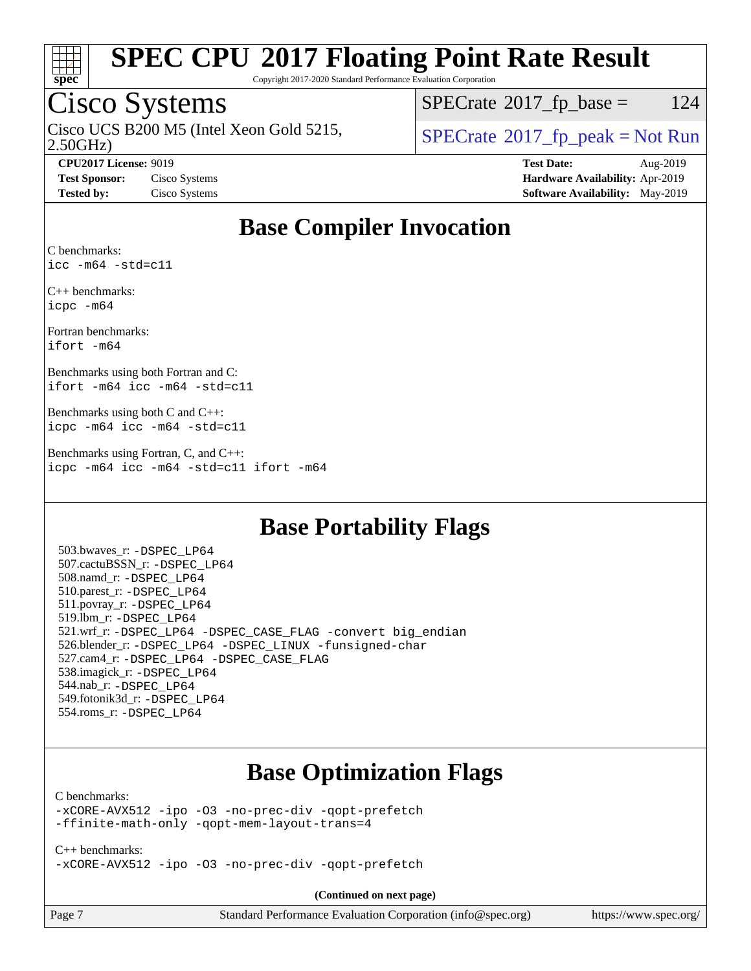

Copyright 2017-2020 Standard Performance Evaluation Corporation

## Cisco Systems

2.50GHz) Cisco UCS B200 M5 (Intel Xeon Gold 5215,  $\vert$  [SPECrate](http://www.spec.org/auto/cpu2017/Docs/result-fields.html#SPECrate2017fppeak)®[2017\\_fp\\_peak = N](http://www.spec.org/auto/cpu2017/Docs/result-fields.html#SPECrate2017fppeak)ot Run

 $SPECTate@2017<sub>fp</sub> base =  $124$$ 

**[CPU2017 License:](http://www.spec.org/auto/cpu2017/Docs/result-fields.html#CPU2017License)** 9019 **[Test Date:](http://www.spec.org/auto/cpu2017/Docs/result-fields.html#TestDate)** Aug-2019 **[Test Sponsor:](http://www.spec.org/auto/cpu2017/Docs/result-fields.html#TestSponsor)** Cisco Systems **[Hardware Availability:](http://www.spec.org/auto/cpu2017/Docs/result-fields.html#HardwareAvailability)** Apr-2019 **[Tested by:](http://www.spec.org/auto/cpu2017/Docs/result-fields.html#Testedby)** Cisco Systems **[Software Availability:](http://www.spec.org/auto/cpu2017/Docs/result-fields.html#SoftwareAvailability)** May-2019

## **[Base Compiler Invocation](http://www.spec.org/auto/cpu2017/Docs/result-fields.html#BaseCompilerInvocation)**

[C benchmarks](http://www.spec.org/auto/cpu2017/Docs/result-fields.html#Cbenchmarks): [icc -m64 -std=c11](http://www.spec.org/cpu2017/results/res2019q3/cpu2017-20190903-17710.flags.html#user_CCbase_intel_icc_64bit_c11_33ee0cdaae7deeeab2a9725423ba97205ce30f63b9926c2519791662299b76a0318f32ddfffdc46587804de3178b4f9328c46fa7c2b0cd779d7a61945c91cd35)

[C++ benchmarks:](http://www.spec.org/auto/cpu2017/Docs/result-fields.html#CXXbenchmarks) [icpc -m64](http://www.spec.org/cpu2017/results/res2019q3/cpu2017-20190903-17710.flags.html#user_CXXbase_intel_icpc_64bit_4ecb2543ae3f1412ef961e0650ca070fec7b7afdcd6ed48761b84423119d1bf6bdf5cad15b44d48e7256388bc77273b966e5eb805aefd121eb22e9299b2ec9d9)

[Fortran benchmarks:](http://www.spec.org/auto/cpu2017/Docs/result-fields.html#Fortranbenchmarks) [ifort -m64](http://www.spec.org/cpu2017/results/res2019q3/cpu2017-20190903-17710.flags.html#user_FCbase_intel_ifort_64bit_24f2bb282fbaeffd6157abe4f878425411749daecae9a33200eee2bee2fe76f3b89351d69a8130dd5949958ce389cf37ff59a95e7a40d588e8d3a57e0c3fd751)

[Benchmarks using both Fortran and C](http://www.spec.org/auto/cpu2017/Docs/result-fields.html#BenchmarksusingbothFortranandC): [ifort -m64](http://www.spec.org/cpu2017/results/res2019q3/cpu2017-20190903-17710.flags.html#user_CC_FCbase_intel_ifort_64bit_24f2bb282fbaeffd6157abe4f878425411749daecae9a33200eee2bee2fe76f3b89351d69a8130dd5949958ce389cf37ff59a95e7a40d588e8d3a57e0c3fd751) [icc -m64 -std=c11](http://www.spec.org/cpu2017/results/res2019q3/cpu2017-20190903-17710.flags.html#user_CC_FCbase_intel_icc_64bit_c11_33ee0cdaae7deeeab2a9725423ba97205ce30f63b9926c2519791662299b76a0318f32ddfffdc46587804de3178b4f9328c46fa7c2b0cd779d7a61945c91cd35)

[Benchmarks using both C and C++:](http://www.spec.org/auto/cpu2017/Docs/result-fields.html#BenchmarksusingbothCandCXX) [icpc -m64](http://www.spec.org/cpu2017/results/res2019q3/cpu2017-20190903-17710.flags.html#user_CC_CXXbase_intel_icpc_64bit_4ecb2543ae3f1412ef961e0650ca070fec7b7afdcd6ed48761b84423119d1bf6bdf5cad15b44d48e7256388bc77273b966e5eb805aefd121eb22e9299b2ec9d9) [icc -m64 -std=c11](http://www.spec.org/cpu2017/results/res2019q3/cpu2017-20190903-17710.flags.html#user_CC_CXXbase_intel_icc_64bit_c11_33ee0cdaae7deeeab2a9725423ba97205ce30f63b9926c2519791662299b76a0318f32ddfffdc46587804de3178b4f9328c46fa7c2b0cd779d7a61945c91cd35)

[Benchmarks using Fortran, C, and C++](http://www.spec.org/auto/cpu2017/Docs/result-fields.html#BenchmarksusingFortranCandCXX): [icpc -m64](http://www.spec.org/cpu2017/results/res2019q3/cpu2017-20190903-17710.flags.html#user_CC_CXX_FCbase_intel_icpc_64bit_4ecb2543ae3f1412ef961e0650ca070fec7b7afdcd6ed48761b84423119d1bf6bdf5cad15b44d48e7256388bc77273b966e5eb805aefd121eb22e9299b2ec9d9) [icc -m64 -std=c11](http://www.spec.org/cpu2017/results/res2019q3/cpu2017-20190903-17710.flags.html#user_CC_CXX_FCbase_intel_icc_64bit_c11_33ee0cdaae7deeeab2a9725423ba97205ce30f63b9926c2519791662299b76a0318f32ddfffdc46587804de3178b4f9328c46fa7c2b0cd779d7a61945c91cd35) [ifort -m64](http://www.spec.org/cpu2017/results/res2019q3/cpu2017-20190903-17710.flags.html#user_CC_CXX_FCbase_intel_ifort_64bit_24f2bb282fbaeffd6157abe4f878425411749daecae9a33200eee2bee2fe76f3b89351d69a8130dd5949958ce389cf37ff59a95e7a40d588e8d3a57e0c3fd751)

## **[Base Portability Flags](http://www.spec.org/auto/cpu2017/Docs/result-fields.html#BasePortabilityFlags)**

 503.bwaves\_r: [-DSPEC\\_LP64](http://www.spec.org/cpu2017/results/res2019q3/cpu2017-20190903-17710.flags.html#suite_basePORTABILITY503_bwaves_r_DSPEC_LP64) 507.cactuBSSN\_r: [-DSPEC\\_LP64](http://www.spec.org/cpu2017/results/res2019q3/cpu2017-20190903-17710.flags.html#suite_basePORTABILITY507_cactuBSSN_r_DSPEC_LP64) 508.namd\_r: [-DSPEC\\_LP64](http://www.spec.org/cpu2017/results/res2019q3/cpu2017-20190903-17710.flags.html#suite_basePORTABILITY508_namd_r_DSPEC_LP64) 510.parest\_r: [-DSPEC\\_LP64](http://www.spec.org/cpu2017/results/res2019q3/cpu2017-20190903-17710.flags.html#suite_basePORTABILITY510_parest_r_DSPEC_LP64) 511.povray\_r: [-DSPEC\\_LP64](http://www.spec.org/cpu2017/results/res2019q3/cpu2017-20190903-17710.flags.html#suite_basePORTABILITY511_povray_r_DSPEC_LP64) 519.lbm\_r: [-DSPEC\\_LP64](http://www.spec.org/cpu2017/results/res2019q3/cpu2017-20190903-17710.flags.html#suite_basePORTABILITY519_lbm_r_DSPEC_LP64) 521.wrf\_r: [-DSPEC\\_LP64](http://www.spec.org/cpu2017/results/res2019q3/cpu2017-20190903-17710.flags.html#suite_basePORTABILITY521_wrf_r_DSPEC_LP64) [-DSPEC\\_CASE\\_FLAG](http://www.spec.org/cpu2017/results/res2019q3/cpu2017-20190903-17710.flags.html#b521.wrf_r_baseCPORTABILITY_DSPEC_CASE_FLAG) [-convert big\\_endian](http://www.spec.org/cpu2017/results/res2019q3/cpu2017-20190903-17710.flags.html#user_baseFPORTABILITY521_wrf_r_convert_big_endian_c3194028bc08c63ac5d04de18c48ce6d347e4e562e8892b8bdbdc0214820426deb8554edfa529a3fb25a586e65a3d812c835984020483e7e73212c4d31a38223) 526.blender\_r: [-DSPEC\\_LP64](http://www.spec.org/cpu2017/results/res2019q3/cpu2017-20190903-17710.flags.html#suite_basePORTABILITY526_blender_r_DSPEC_LP64) [-DSPEC\\_LINUX](http://www.spec.org/cpu2017/results/res2019q3/cpu2017-20190903-17710.flags.html#b526.blender_r_baseCPORTABILITY_DSPEC_LINUX) [-funsigned-char](http://www.spec.org/cpu2017/results/res2019q3/cpu2017-20190903-17710.flags.html#user_baseCPORTABILITY526_blender_r_force_uchar_40c60f00ab013830e2dd6774aeded3ff59883ba5a1fc5fc14077f794d777847726e2a5858cbc7672e36e1b067e7e5c1d9a74f7176df07886a243d7cc18edfe67) 527.cam4\_r: [-DSPEC\\_LP64](http://www.spec.org/cpu2017/results/res2019q3/cpu2017-20190903-17710.flags.html#suite_basePORTABILITY527_cam4_r_DSPEC_LP64) [-DSPEC\\_CASE\\_FLAG](http://www.spec.org/cpu2017/results/res2019q3/cpu2017-20190903-17710.flags.html#b527.cam4_r_baseCPORTABILITY_DSPEC_CASE_FLAG) 538.imagick\_r: [-DSPEC\\_LP64](http://www.spec.org/cpu2017/results/res2019q3/cpu2017-20190903-17710.flags.html#suite_basePORTABILITY538_imagick_r_DSPEC_LP64) 544.nab\_r: [-DSPEC\\_LP64](http://www.spec.org/cpu2017/results/res2019q3/cpu2017-20190903-17710.flags.html#suite_basePORTABILITY544_nab_r_DSPEC_LP64) 549.fotonik3d\_r: [-DSPEC\\_LP64](http://www.spec.org/cpu2017/results/res2019q3/cpu2017-20190903-17710.flags.html#suite_basePORTABILITY549_fotonik3d_r_DSPEC_LP64) 554.roms\_r: [-DSPEC\\_LP64](http://www.spec.org/cpu2017/results/res2019q3/cpu2017-20190903-17710.flags.html#suite_basePORTABILITY554_roms_r_DSPEC_LP64)

## **[Base Optimization Flags](http://www.spec.org/auto/cpu2017/Docs/result-fields.html#BaseOptimizationFlags)**

### [C benchmarks](http://www.spec.org/auto/cpu2017/Docs/result-fields.html#Cbenchmarks):

[-xCORE-AVX512](http://www.spec.org/cpu2017/results/res2019q3/cpu2017-20190903-17710.flags.html#user_CCbase_f-xCORE-AVX512) [-ipo](http://www.spec.org/cpu2017/results/res2019q3/cpu2017-20190903-17710.flags.html#user_CCbase_f-ipo) [-O3](http://www.spec.org/cpu2017/results/res2019q3/cpu2017-20190903-17710.flags.html#user_CCbase_f-O3) [-no-prec-div](http://www.spec.org/cpu2017/results/res2019q3/cpu2017-20190903-17710.flags.html#user_CCbase_f-no-prec-div) [-qopt-prefetch](http://www.spec.org/cpu2017/results/res2019q3/cpu2017-20190903-17710.flags.html#user_CCbase_f-qopt-prefetch) [-ffinite-math-only](http://www.spec.org/cpu2017/results/res2019q3/cpu2017-20190903-17710.flags.html#user_CCbase_f_finite_math_only_cb91587bd2077682c4b38af759c288ed7c732db004271a9512da14a4f8007909a5f1427ecbf1a0fb78ff2a814402c6114ac565ca162485bbcae155b5e4258871) [-qopt-mem-layout-trans=4](http://www.spec.org/cpu2017/results/res2019q3/cpu2017-20190903-17710.flags.html#user_CCbase_f-qopt-mem-layout-trans_fa39e755916c150a61361b7846f310bcdf6f04e385ef281cadf3647acec3f0ae266d1a1d22d972a7087a248fd4e6ca390a3634700869573d231a252c784941a8)

[C++ benchmarks:](http://www.spec.org/auto/cpu2017/Docs/result-fields.html#CXXbenchmarks) [-xCORE-AVX512](http://www.spec.org/cpu2017/results/res2019q3/cpu2017-20190903-17710.flags.html#user_CXXbase_f-xCORE-AVX512) [-ipo](http://www.spec.org/cpu2017/results/res2019q3/cpu2017-20190903-17710.flags.html#user_CXXbase_f-ipo) [-O3](http://www.spec.org/cpu2017/results/res2019q3/cpu2017-20190903-17710.flags.html#user_CXXbase_f-O3) [-no-prec-div](http://www.spec.org/cpu2017/results/res2019q3/cpu2017-20190903-17710.flags.html#user_CXXbase_f-no-prec-div) [-qopt-prefetch](http://www.spec.org/cpu2017/results/res2019q3/cpu2017-20190903-17710.flags.html#user_CXXbase_f-qopt-prefetch)

**(Continued on next page)**

| Page |  |
|------|--|
|      |  |

Page 7 Standard Performance Evaluation Corporation [\(info@spec.org\)](mailto:info@spec.org) <https://www.spec.org/>